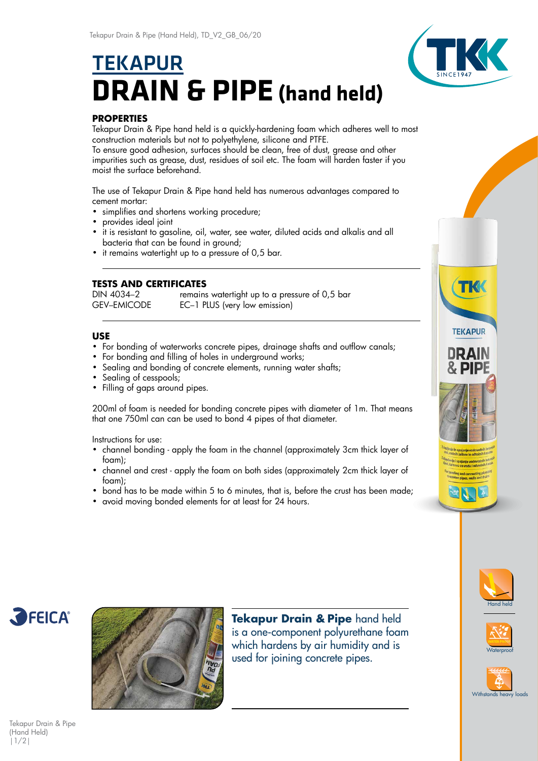# **TEKAPUR DRAIN & PIPE (hand held)**



# **PROPERTIES**

Tekapur Drain & Pipe hand held is a quickly-hardening foam which adheres well to most construction materials but not to polyethylene, silicone and PTFE.

To ensure good adhesion, surfaces should be clean, free of dust, grease and other impurities such as grease, dust, residues of soil etc. The foam will harden faster if you moist the surface beforehand.

The use of Tekapur Drain & Pipe hand held has numerous advantages compared to cement mortar:

- simplifies and shortens working procedure;
- provides ideal joint
- it is resistant to gasoline, oil, water, see water, diluted acids and alkalis and all bacteria that can be found in ground;
- it remains watertight up to a pressure of 0,5 bar.

# **TESTS AND CERTIFICATES**

DIN 4034–2 remains watertight up to a pressure of 0,5 bar GEV–EMICODE EC–1 PLUS (very low emission)

## **USE**

- For bonding of waterworks concrete pipes, drainage shafts and outflow canals;
- For bonding and filling of holes in underground works;
- Sealing and bonding of concrete elements, running water shafts;
- Sealing of cesspools;
- Filling of gaps around pipes.

200ml of foam is needed for bonding concrete pipes with diameter of 1m. That means that one 750ml can can be used to bond 4 pipes of that diameter.

Instructions for use:

- channel bonding apply the foam in the channel (approximately 3cm thick layer of foam);
- channel and crest apply the foam on both sides (approximately 2cm thick layer of foam);
- bond has to be made within 5 to 6 minutes, that is, before the crust has been made;
- avoid moving bonded elements for at least for 24 hours.













**Tekapur Drain & Pipe** hand held is a one-component polyurethane foam which hardens by air humidity and is used for joining concrete pipes.